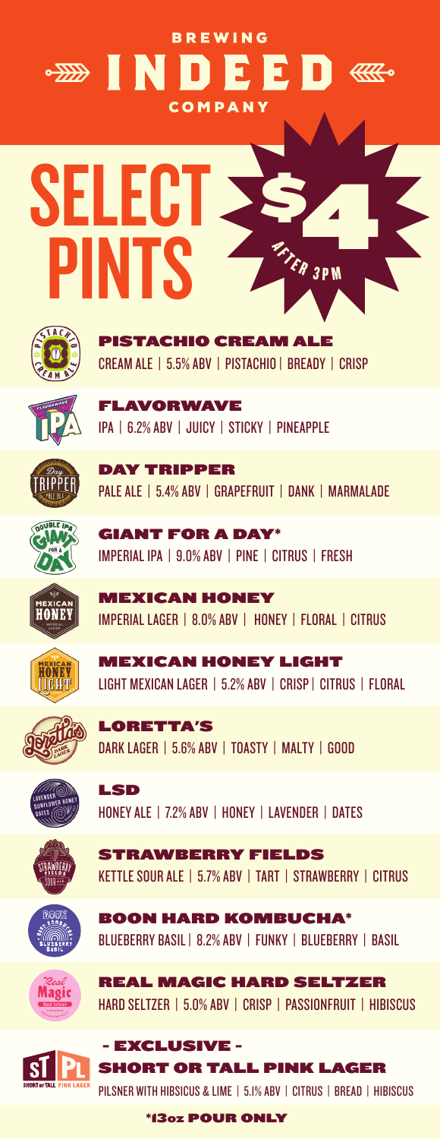### **BREWING BEED & SHORE DIES** COMPANY





**FTACHIO CREAM ALE** CREAM ALE | 5.5% ABV | PISTACHIO | BREADY | CRISP



**AVORWAVE** IPA | 6.2% ABV | JUICY | STICKY | PINEAPPLE



DAY TRIPPER PALE ALE | 5.4% ABV | GRAPEFRUIT | DANK | MARMALADE



GIANT FOR A DAY\* IMPERIAL IPA | 9.0% ABV | PINE | CITRUS | FRESH

MEXICAN HONEY IMPERIAL LAGER | 8.0% ABV | HONEY | FLORAL | CITRUS

MEXICAN HONEY LIGHT LIGHT MEXICAN LAGER | 5.2% ABV | CRISP | CITRUS | FLORAL



LORETTA'S DARK LAGER | 5.6% ABV | TOASTY | MALTY | GOOD



LSD HONEY ALE | 7.2% ABV | HONEY | LAVENDER | DATES

BOON HARD KOMBUCHA\*



**TRAWBERRY FIELDS** KETTLE SOUR ALE | 5.7% ABV | TART | STRAWBERRY | CITRUS





BLUEBERRY BASIL | 8.2% ABV | FUNKY | BLUEBERRY | BASIL REAL MAGIC HARD SELTZER



HARD SELTZER | 5.0% ABV | CRISP | PASSIONFRUIT | HIBISCUS - EXCLUSIVE -

SHORT OR TALL PINK LAGER PILSNER WITH HIBSICUS & LIME | 5.1% ABV | CITRUS | BREAD | HIBISCUS

\*13OZ POUR ONLY